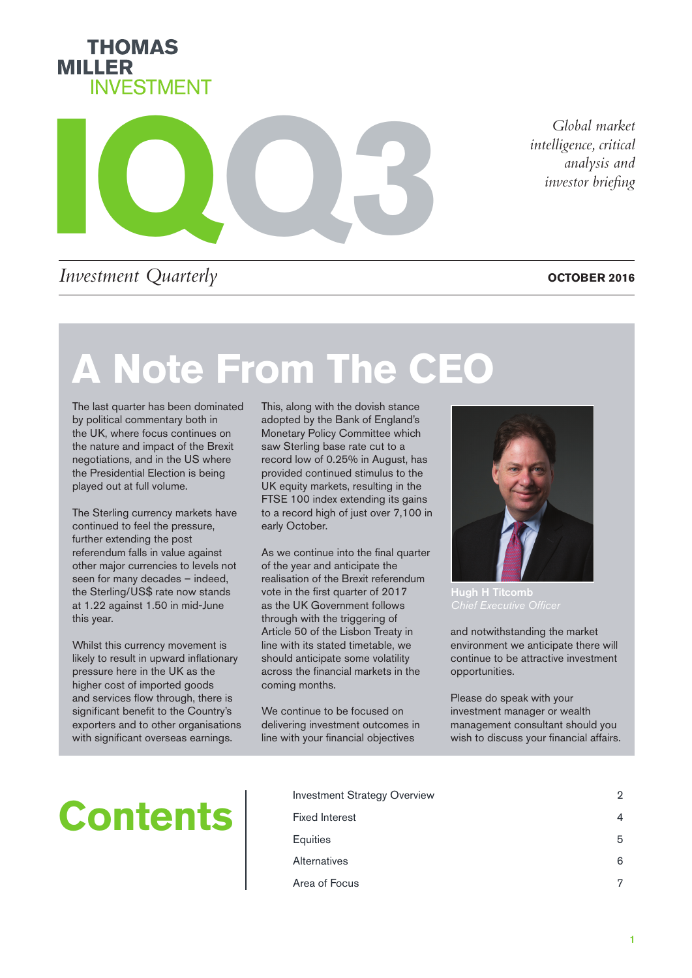



*intelligence, critical analysis and investor briefing*

### *Investment Quarterly*

**OCTOBER 2016**

# **A Note From The CEO**

The last quarter has been dominated by political commentary both in the UK, where focus continues on the nature and impact of the Brexit negotiations, and in the US where the Presidential Election is being played out at full volume.

The Sterling currency markets have continued to feel the pressure, further extending the post referendum falls in value against other major currencies to levels not seen for many decades – indeed, the Sterling/US\$ rate now stands at 1.22 against 1.50 in mid-June this year.

Whilst this currency movement is likely to result in upward inflationary pressure here in the UK as the higher cost of imported goods and services flow through, there is significant benefit to the Country's exporters and to other organisations with significant overseas earnings.

This, along with the dovish stance adopted by the Bank of England's Monetary Policy Committee which saw Sterling base rate cut to a record low of 0.25% in August, has provided continued stimulus to the UK equity markets, resulting in the FTSE 100 index extending its gains to a record high of just over 7,100 in early October.

As we continue into the final quarter of the year and anticipate the realisation of the Brexit referendum vote in the first quarter of 2017 as the UK Government follows through with the triggering of Article 50 of the Lisbon Treaty in line with its stated timetable, we should anticipate some volatility across the financial markets in the coming months.

We continue to be focused on delivering investment outcomes in line with your financial objectives



Hugh H Titcomb

and notwithstanding the market environment we anticipate there will continue to be attractive investment opportunities.

Please do speak with your investment manager or wealth management consultant should you wish to discuss your financial affairs.

# **Contents**

| <b>Investment Strategy Overview</b> | 2 |
|-------------------------------------|---|
| <b>Fixed Interest</b>               |   |
| Equities                            | 5 |
| Alternatives                        | 6 |
| Area of Focus                       | 7 |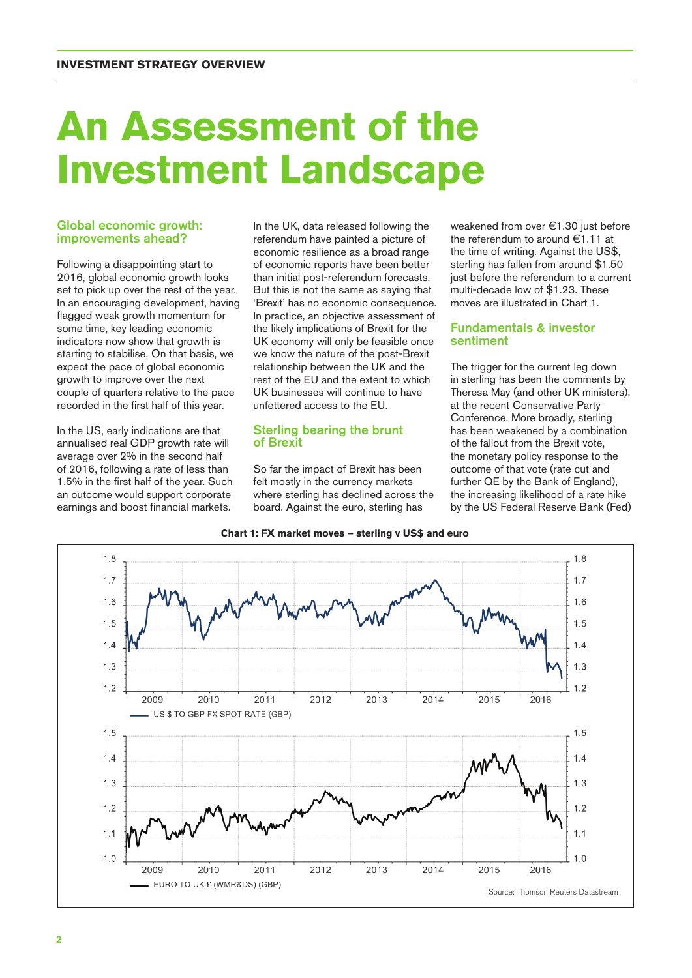### **An Assessment of the Investment Landscape**

#### Global economic growth: improvements ahead?

Following a disappointing start to 2016, global economic growth looks set to pick up over the rest of the year. In an encouraging development, having flagged weak growth momentum for some time, key leading economic indicators now show that growth is starting to stabilise. On that basis, we expect the pace of global economic growth to improve over the next couple of quarters relative to the pace recorded in the first half of this year.

In the US, early indications are that annualised real GDP growth rate will average over 2% in the second half of 2016, following a rate of less than 1.5% in the first half of the year. Such an outcome would support corporate earnings and boost financial markets.

In the UK, data released following the referendum have painted a picture of economic resilience as a broad range of economic reports have been better than initial post-referendum forecasts. But this is not the same as saying that 'Brexit' has no economic consequence. In practice, an objective assessment of the likely implications of Brexit for the UK economy will only be feasible once we know the nature of the post-Brexit relationship between the UK and the rest of the EU and the extent to which UK businesses will continue to have unfettered access to the EU.

#### Sterling bearing the brunt of Brexit

So far the impact of Brexit has been felt mostly in the currency markets where sterling has declined across the board. Against the euro, sterling has

weakened from over €1.30 just before the referendum to around €1.11 at the time of writing. Against the US\$, sterling has fallen from around \$1.50 just before the referendum to a current multi-decade low of \$1.23. These moves are illustrated in Chart 1.

#### Fundamentals & investor sentiment

The trigger for the current leg down in sterling has been the comments by Theresa May (and other UK ministers), at the recent Conservative Party Conference. More broadly, sterling has been weakened by a combination of the fallout from the Brexit vote, the monetary policy response to the outcome of that vote (rate cut and further QE by the Bank of England), the increasing likelihood of a rate hike by the US Federal Reserve Bank (Fed)



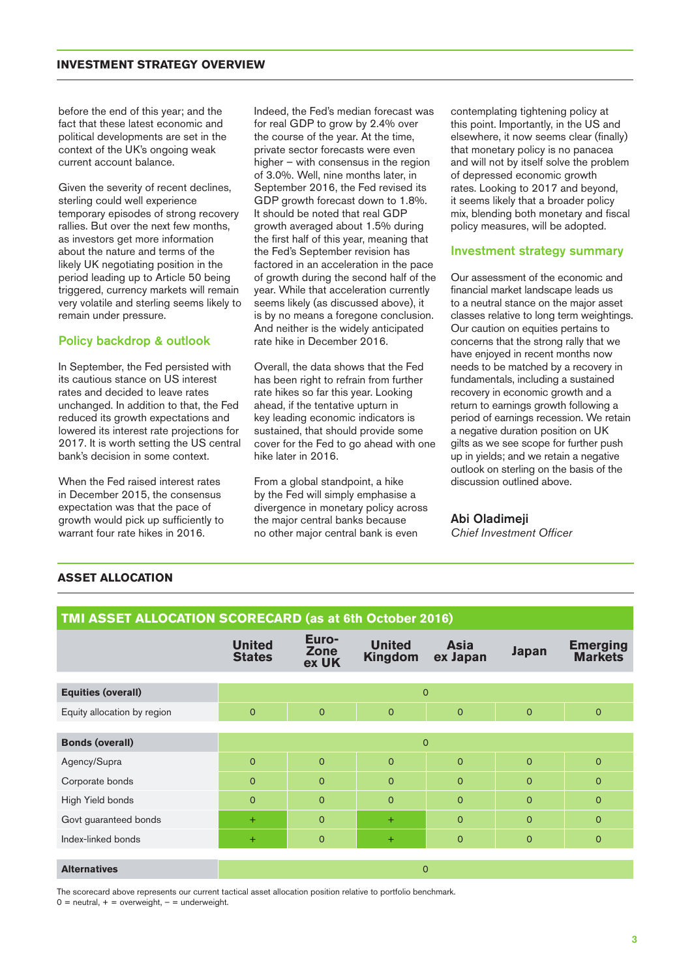#### **INVESTMENT STRATEGY OVERVIEW**

before the end of this year; and the fact that these latest economic and political developments are set in the context of the UK's ongoing weak current account balance.

Given the severity of recent declines, sterling could well experience temporary episodes of strong recovery rallies. But over the next few months, as investors get more information about the nature and terms of the likely UK negotiating position in the period leading up to Article 50 being triggered, currency markets will remain very volatile and sterling seems likely to remain under pressure.

#### Policy backdrop & outlook

In September, the Fed persisted with its cautious stance on US interest rates and decided to leave rates unchanged. In addition to that, the Fed reduced its growth expectations and lowered its interest rate projections for 2017. It is worth setting the US central bank's decision in some context.

When the Fed raised interest rates in December 2015, the consensus expectation was that the pace of growth would pick up sufficiently to warrant four rate hikes in 2016.

Indeed, the Fed's median forecast was for real GDP to grow by 2.4% over the course of the year. At the time, private sector forecasts were even higher – with consensus in the region of 3.0%. Well, nine months later, in September 2016, the Fed revised its GDP growth forecast down to 1.8%. It should be noted that real GDP growth averaged about 1.5% during the first half of this year, meaning that the Fed's September revision has factored in an acceleration in the pace of growth during the second half of the year. While that acceleration currently seems likely (as discussed above), it is by no means a foregone conclusion. And neither is the widely anticipated rate hike in December 2016.

Overall, the data shows that the Fed has been right to refrain from further rate hikes so far this year. Looking ahead, if the tentative upturn in key leading economic indicators is sustained, that should provide some cover for the Fed to go ahead with one hike later in 2016.

From a global standpoint, a hike by the Fed will simply emphasise a divergence in monetary policy across the major central banks because no other major central bank is even

contemplating tightening policy at this point. Importantly, in the US and elsewhere, it now seems clear (finally) that monetary policy is no panacea and will not by itself solve the problem of depressed economic growth rates. Looking to 2017 and beyond, it seems likely that a broader policy mix, blending both monetary and fiscal policy measures, will be adopted.

#### Investment strategy summary

Our assessment of the economic and financial market landscape leads us to a neutral stance on the major asset classes relative to long term weightings. Our caution on equities pertains to concerns that the strong rally that we have enjoyed in recent months now needs to be matched by a recovery in fundamentals, including a sustained recovery in economic growth and a return to earnings growth following a period of earnings recession. We retain a negative duration position on UK gilts as we see scope for further push up in yields; and we retain a negative outlook on sterling on the basis of the discussion outlined above.

#### Abi Oladimeji

*Chief Investment Officer*

|  | <b>ASSET ALLOCATION</b> |
|--|-------------------------|
|--|-------------------------|

| <b>TMI ASSET ALLOCATION SCORECARD (as at 6th October 2016)</b> |                                |                        |                                 |                         |                |                                   |  |  |  |
|----------------------------------------------------------------|--------------------------------|------------------------|---------------------------------|-------------------------|----------------|-----------------------------------|--|--|--|
|                                                                | <b>United</b><br><b>States</b> | Euro-<br>Zone<br>ex UK | <b>United</b><br><b>Kingdom</b> | <b>Asia</b><br>ex Japan | <b>Japan</b>   | <b>Emerging</b><br><b>Markets</b> |  |  |  |
| <b>Equities (overall)</b>                                      | $\mathbf{O}$                   |                        |                                 |                         |                |                                   |  |  |  |
| Equity allocation by region                                    | $\overline{0}$                 | $\mathbf{O}$           | $\mathbf{O}$                    | $\mathbf{O}$            | $\overline{O}$ | $\mathbf 0$                       |  |  |  |
| <b>Bonds (overall)</b>                                         | $\Omega$                       |                        |                                 |                         |                |                                   |  |  |  |
| Agency/Supra                                                   | $\overline{0}$                 | $\mathbf{O}$           | $\mathbf{O}$                    | $\mathbf{O}$            | $\mathbf{O}$   | $\mathbf 0$                       |  |  |  |
| Corporate bonds                                                | $\Omega$                       | $\overline{0}$         | $\Omega$                        | $\mathbf{O}$            | $\overline{O}$ | $\mathbf{O}$                      |  |  |  |
| High Yield bonds                                               | $\overline{0}$                 | $\overline{0}$         | $\overline{0}$                  | $\mathbf 0$             | $\overline{O}$ | $\mathbf 0$                       |  |  |  |
| Govt guaranteed bonds                                          | $\ddot{}$                      | $\overline{0}$         | $+$                             | $\mathbf{O}$            | $\mathbf{O}$   | $\mathbf{O}$                      |  |  |  |
| Index-linked bonds                                             | $\pm$                          | $\mathbf{O}$           | $+$                             | $\mathbf{O}$            | $\mathbf{O}$   | $\mathbf 0$                       |  |  |  |
| <b>Alternatives</b>                                            | $\mathbf{0}$                   |                        |                                 |                         |                |                                   |  |  |  |

The scorecard above represents our current tactical asset allocation position relative to portfolio benchmark.

 $0 =$  neutral,  $+ =$  overweight,  $- =$  underweight.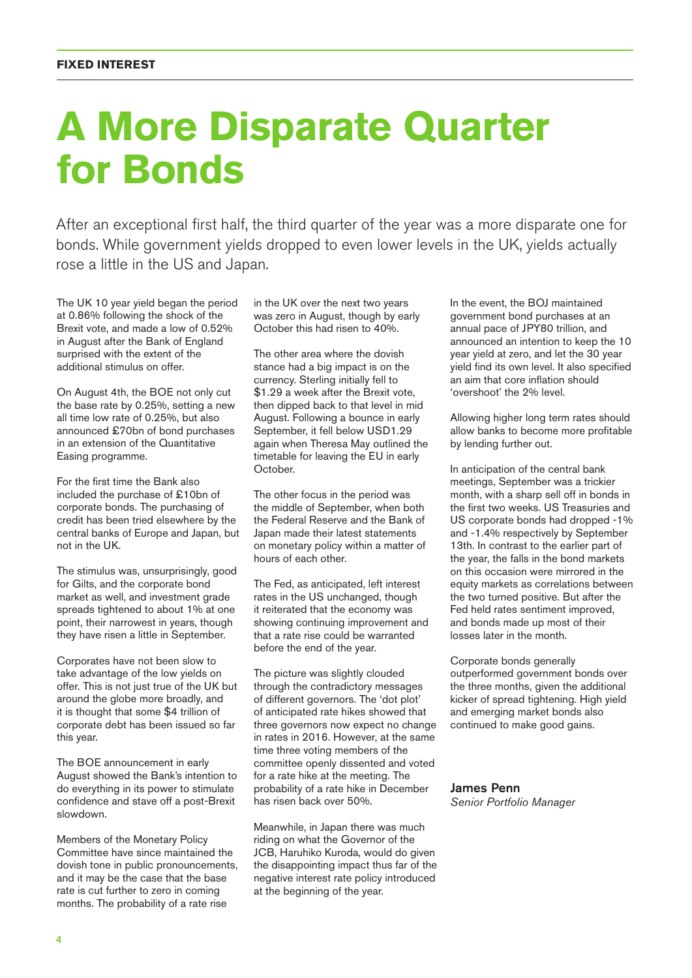### **A More Disparate Quarter for Bonds**

After an exceptional first half, the third quarter of the year was a more disparate one for bonds. While government yields dropped to even lower levels in the UK, yields actually rose a little in the US and Japan.

The UK 10 year yield began the period at 0.86% following the shock of the Brexit vote, and made a low of 0.52% in August after the Bank of England surprised with the extent of the additional stimulus on offer.

On August 4th, the BOE not only cut the base rate by 0.25%, setting a new all time low rate of 0.25%, but also announced £70bn of bond purchases in an extension of the Quantitative Easing programme.

For the first time the Bank also included the purchase of £10bn of corporate bonds. The purchasing of credit has been tried elsewhere by the central banks of Europe and Japan, but not in the UK.

The stimulus was, unsurprisingly, good for Gilts, and the corporate bond market as well, and investment grade spreads tightened to about 1% at one point, their narrowest in years, though they have risen a little in September.

Corporates have not been slow to take advantage of the low yields on offer. This is not just true of the UK but around the globe more broadly, and it is thought that some \$4 trillion of corporate debt has been issued so far this year.

The BOE announcement in early August showed the Bank's intention to do everything in its power to stimulate confidence and stave off a post-Brexit slowdown.

Members of the Monetary Policy Committee have since maintained the dovish tone in public pronouncements, and it may be the case that the base rate is cut further to zero in coming months. The probability of a rate rise

in the UK over the next two years was zero in August, though by early October this had risen to 40%.

The other area where the dovish stance had a big impact is on the currency. Sterling initially fell to \$1.29 a week after the Brexit vote, then dipped back to that level in mid August. Following a bounce in early September, it fell below USD1.29 again when Theresa May outlined the timetable for leaving the EU in early October.

The other focus in the period was the middle of September, when both the Federal Reserve and the Bank of Japan made their latest statements on monetary policy within a matter of hours of each other.

The Fed, as anticipated, left interest rates in the US unchanged, though it reiterated that the economy was showing continuing improvement and that a rate rise could be warranted before the end of the year.

The picture was slightly clouded through the contradictory messages of different governors. The 'dot plot' of anticipated rate hikes showed that three governors now expect no change in rates in 2016. However, at the same time three voting members of the committee openly dissented and voted for a rate hike at the meeting. The probability of a rate hike in December has risen back over 50%.

Meanwhile, in Japan there was much riding on what the Governor of the JCB, Haruhiko Kuroda, would do given the disappointing impact thus far of the negative interest rate policy introduced at the beginning of the year.

In the event, the BOJ maintained government bond purchases at an annual pace of JPY80 trillion, and announced an intention to keep the 10 year yield at zero, and let the 30 year yield find its own level. It also specified an aim that core inflation should 'overshoot' the 2% level.

Allowing higher long term rates should allow banks to become more profitable by lending further out.

In anticipation of the central bank meetings, September was a trickier month, with a sharp sell off in bonds in the first two weeks. US Treasuries and US corporate bonds had dropped -1% and -1.4% respectively by September 13th. In contrast to the earlier part of the year, the falls in the bond markets on this occasion were mirrored in the equity markets as correlations between the two turned positive. But after the Fed held rates sentiment improved, and bonds made up most of their losses later in the month.

Corporate bonds generally outperformed government bonds over the three months, given the additional kicker of spread tightening. High yield and emerging market bonds also continued to make good gains.

#### James Penn *Senior Portfolio Manager*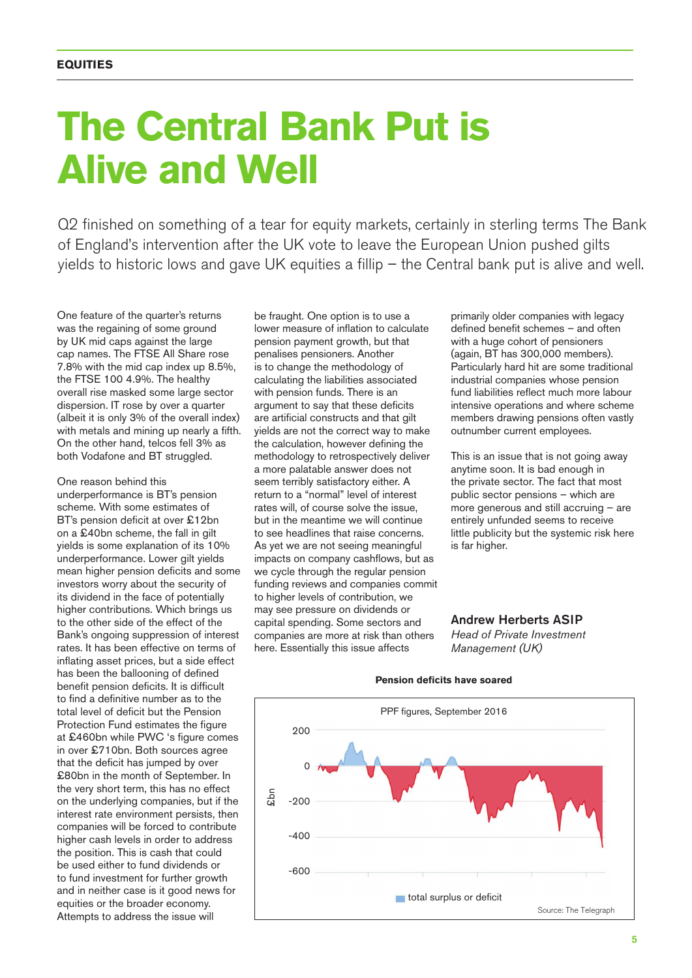### **The Central Bank Put is Alive and Well**

Q2 finished on something of a tear for equity markets, certainly in sterling terms The Bank of England's intervention after the UK vote to leave the European Union pushed gilts yields to historic lows and gave UK equities a fillip – the Central bank put is alive and well.

One feature of the quarter's returns was the regaining of some ground by UK mid caps against the large cap names. The FTSE All Share rose 7.8% with the mid cap index up 8.5%, the FTSE 100 4.9%. The healthy overall rise masked some large sector dispersion. IT rose by over a quarter (albeit it is only 3% of the overall index) with metals and mining up nearly a fifth. On the other hand, telcos fell 3% as both Vodafone and BT struggled.

One reason behind this underperformance is BT's pension scheme. With some estimates of BT's pension deficit at over £12bn on a £40bn scheme, the fall in gilt yields is some explanation of its 10% underperformance. Lower gilt yields mean higher pension deficits and some investors worry about the security of its dividend in the face of potentially higher contributions. Which brings us to the other side of the effect of the Bank's ongoing suppression of interest rates. It has been effective on terms of inflating asset prices, but a side effect has been the ballooning of defined benefit pension deficits. It is difficult to find a definitive number as to the total level of deficit but the Pension Protection Fund estimates the figure at £460bn while PWC 's figure comes in over £710bn. Both sources agree that the deficit has jumped by over £80bn in the month of September. In the very short term, this has no effect on the underlying companies, but if the interest rate environment persists, then companies will be forced to contribute higher cash levels in order to address the position. This is cash that could be used either to fund dividends or to fund investment for further growth and in neither case is it good news for equities or the broader economy. Attempts to address the issue will

be fraught. One option is to use a lower measure of inflation to calculate pension payment growth, but that penalises pensioners. Another is to change the methodology of calculating the liabilities associated with pension funds. There is an argument to say that these deficits are artificial constructs and that gilt yields are not the correct way to make the calculation, however defining the methodology to retrospectively deliver a more palatable answer does not seem terribly satisfactory either. A return to a "normal" level of interest rates will, of course solve the issue, but in the meantime we will continue to see headlines that raise concerns. As yet we are not seeing meaningful impacts on company cashflows, but as we cycle through the regular pension funding reviews and companies commit to higher levels of contribution, we may see pressure on dividends or capital spending. Some sectors and companies are more at risk than others here. Essentially this issue affects

primarily older companies with legacy defined benefit schemes – and often with a huge cohort of pensioners (again, BT has 300,000 members). Particularly hard hit are some traditional industrial companies whose pension fund liabilities reflect much more labour intensive operations and where scheme members drawing pensions often vastly outnumber current employees.

This is an issue that is not going away anytime soon. It is bad enough in the private sector. The fact that most public sector pensions – which are more generous and still accruing – are entirely unfunded seems to receive little publicity but the systemic risk here is far higher.

#### Andrew Herberts ASIP *Head of Private Investment Management (UK)*



#### **Pension deficits have soared**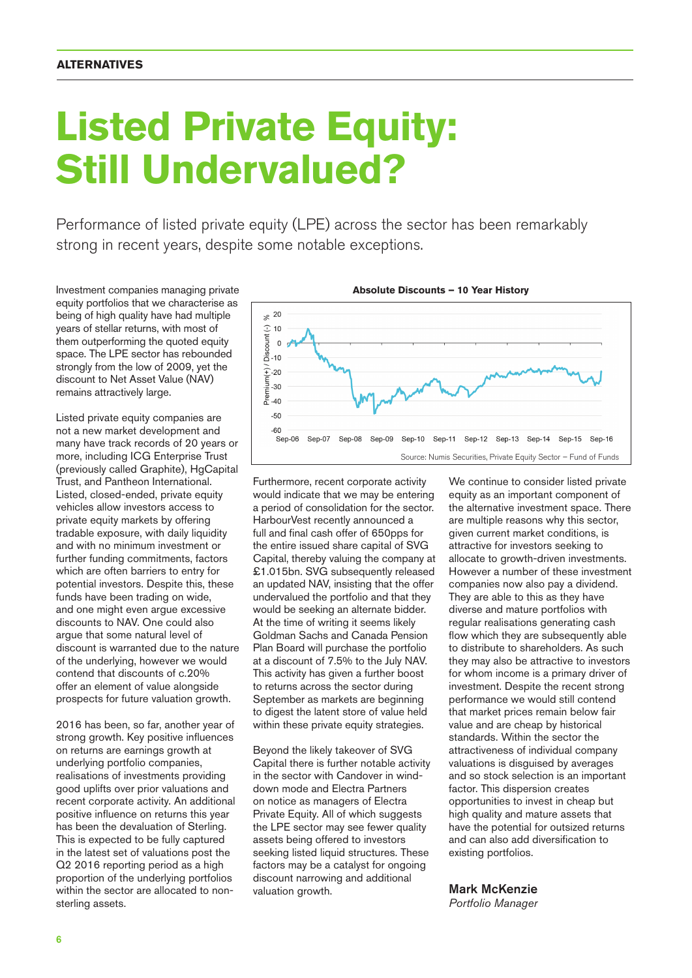## **Listed Private Equity: Still Undervalued?**

Performance of listed private equity (LPE) across the sector has been remarkably strong in recent years, despite some notable exceptions.

Investment companies managing private equity portfolios that we characterise as being of high quality have had multiple years of stellar returns, with most of them outperforming the quoted equity space. The LPE sector has rebounded strongly from the low of 2009, yet the discount to Net Asset Value (NAV) remains attractively large.

Listed private equity companies are not a new market development and many have track records of 20 years or more, including ICG Enterprise Trust (previously called Graphite), HgCapital Trust, and Pantheon International. Listed, closed-ended, private equity vehicles allow investors access to private equity markets by offering tradable exposure, with daily liquidity and with no minimum investment or further funding commitments, factors which are often barriers to entry for potential investors. Despite this, these funds have been trading on wide, and one might even argue excessive discounts to NAV. One could also argue that some natural level of discount is warranted due to the nature of the underlying, however we would contend that discounts of c.20% offer an element of value alongside prospects for future valuation growth.

2016 has been, so far, another year of strong growth. Key positive influences on returns are earnings growth at underlying portfolio companies, realisations of investments providing good uplifts over prior valuations and recent corporate activity. An additional positive influence on returns this year has been the devaluation of Sterling. This is expected to be fully captured in the latest set of valuations post the Q2 2016 reporting period as a high proportion of the underlying portfolios within the sector are allocated to nonsterling assets.



Furthermore, recent corporate activity would indicate that we may be entering a period of consolidation for the sector. HarbourVest recently announced a full and final cash offer of 650pps for the entire issued share capital of SVG Capital, thereby valuing the company at £1.015bn. SVG subsequently released an updated NAV, insisting that the offer undervalued the portfolio and that they would be seeking an alternate bidder. At the time of writing it seems likely Goldman Sachs and Canada Pension Plan Board will purchase the portfolio at a discount of 7.5% to the July NAV. This activity has given a further boost to returns across the sector during September as markets are beginning to digest the latent store of value held within these private equity strategies.

Beyond the likely takeover of SVG Capital there is further notable activity in the sector with Candover in winddown mode and Electra Partners on notice as managers of Electra Private Equity. All of which suggests the LPE sector may see fewer quality assets being offered to investors seeking listed liquid structures. These factors may be a catalyst for ongoing discount narrowing and additional valuation growth.

We continue to consider listed private equity as an important component of the alternative investment space. There are multiple reasons why this sector, given current market conditions, is attractive for investors seeking to allocate to growth-driven investments. However a number of these investment companies now also pay a dividend. They are able to this as they have diverse and mature portfolios with regular realisations generating cash flow which they are subsequently able to distribute to shareholders. As such they may also be attractive to investors for whom income is a primary driver of investment. Despite the recent strong performance we would still contend that market prices remain below fair value and are cheap by historical standards. Within the sector the attractiveness of individual company valuations is disguised by averages and so stock selection is an important factor. This dispersion creates opportunities to invest in cheap but high quality and mature assets that have the potential for outsized returns and can also add diversification to existing portfolios.

#### Mark McKenzie

*Portfolio Manager*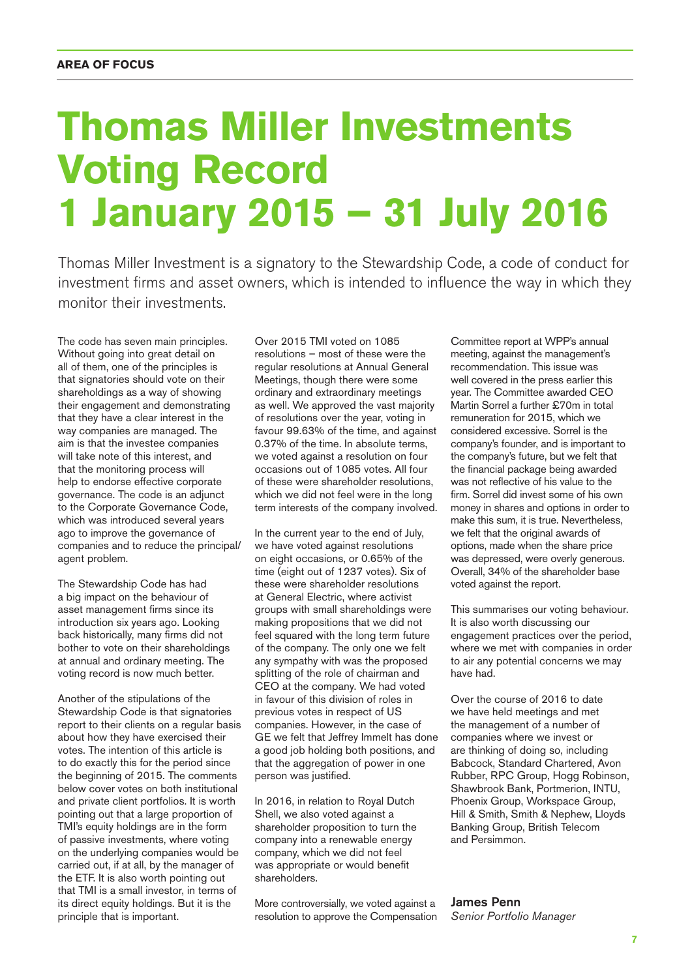## **Thomas Miller Investments Voting Record 1 January 2015 – 31 July 2016**

Thomas Miller Investment is a signatory to the Stewardship Code, a code of conduct for investment firms and asset owners, which is intended to influence the way in which they monitor their investments.

The code has seven main principles. Without going into great detail on all of them, one of the principles is that signatories should vote on their shareholdings as a way of showing their engagement and demonstrating that they have a clear interest in the way companies are managed. The aim is that the investee companies will take note of this interest, and that the monitoring process will help to endorse effective corporate governance. The code is an adjunct to the Corporate Governance Code, which was introduced several years ago to improve the governance of companies and to reduce the principal/ agent problem.

The Stewardship Code has had a big impact on the behaviour of asset management firms since its introduction six years ago. Looking back historically, many firms did not bother to vote on their shareholdings at annual and ordinary meeting. The voting record is now much better.

Another of the stipulations of the Stewardship Code is that signatories report to their clients on a regular basis about how they have exercised their votes. The intention of this article is to do exactly this for the period since the beginning of 2015. The comments below cover votes on both institutional and private client portfolios. It is worth pointing out that a large proportion of TMI's equity holdings are in the form of passive investments, where voting on the underlying companies would be carried out, if at all, by the manager of the ETF. It is also worth pointing out that TMI is a small investor, in terms of its direct equity holdings. But it is the principle that is important.

Over 2015 TMI voted on 1085 resolutions – most of these were the regular resolutions at Annual General Meetings, though there were some ordinary and extraordinary meetings as well. We approved the vast majority of resolutions over the year, voting in favour 99.63% of the time, and against 0.37% of the time. In absolute terms, we voted against a resolution on four occasions out of 1085 votes. All four of these were shareholder resolutions, which we did not feel were in the long term interests of the company involved.

In the current year to the end of July, we have voted against resolutions on eight occasions, or 0.65% of the time (eight out of 1237 votes). Six of these were shareholder resolutions at General Electric, where activist groups with small shareholdings were making propositions that we did not feel squared with the long term future of the company. The only one we felt any sympathy with was the proposed splitting of the role of chairman and CEO at the company. We had voted in favour of this division of roles in previous votes in respect of US companies. However, in the case of GE we felt that Jeffrey Immelt has done a good job holding both positions, and that the aggregation of power in one person was justified.

In 2016, in relation to Royal Dutch Shell, we also voted against a shareholder proposition to turn the company into a renewable energy company, which we did not feel was appropriate or would benefit shareholders.

More controversially, we voted against a resolution to approve the Compensation

Committee report at WPP's annual meeting, against the management's recommendation. This issue was well covered in the press earlier this year. The Committee awarded CEO Martin Sorrel a further £70m in total remuneration for 2015, which we considered excessive. Sorrel is the company's founder, and is important to the company's future, but we felt that the financial package being awarded was not reflective of his value to the firm. Sorrel did invest some of his own money in shares and options in order to make this sum, it is true. Nevertheless, we felt that the original awards of options, made when the share price was depressed, were overly generous. Overall, 34% of the shareholder base voted against the report.

This summarises our voting behaviour. It is also worth discussing our engagement practices over the period, where we met with companies in order to air any potential concerns we may have had.

Over the course of 2016 to date we have held meetings and met the management of a number of companies where we invest or are thinking of doing so, including Babcock, Standard Chartered, Avon Rubber, RPC Group, Hogg Robinson, Shawbrook Bank, Portmerion, INTU, Phoenix Group, Workspace Group, Hill & Smith, Smith & Nephew, Lloyds Banking Group, British Telecom and Persimmon.

#### James Penn

*Senior Portfolio Manager*